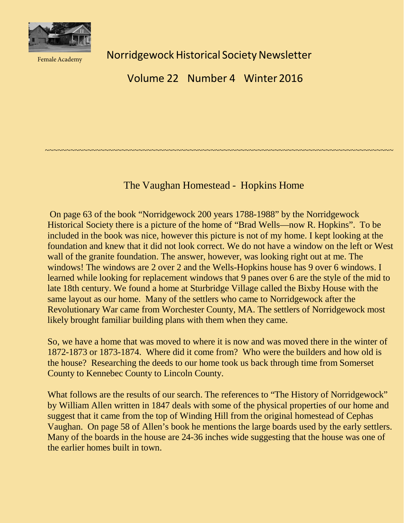

Female Academy

Norridgewock Historical Society Newsletter

Volume 22 Number 4 Winter 2016

## The Vaughan Homestead - Hopkins Home

~~~~~~~~~~~~~~~~~~~~~~~~~~~~~~~~~~~~~~~~~~~~~~~~~~~~~~~~~~~~~~~~~~~~~~~~~~~~~~~~~~

On page 63 of the book "Norridgewock 200 years 1788-1988" by the Norridgewock Historical Society there is a picture of the home of "Brad Wells—now R. Hopkins". To be included in the book was nice, however this picture is not of my home. I kept looking at the foundation and knew that it did not look correct. We do not have a window on the left or West wall of the granite foundation. The answer, however, was looking right out at me. The windows! The windows are 2 over 2 and the Wells-Hopkins house has 9 over 6 windows. I learned while looking for replacement windows that 9 panes over 6 are the style of the mid to late 18th century. We found a home at Sturbridge Village called the Bixby House with the same layout as our home. Many of the settlers who came to Norridgewock after the Revolutionary War came from Worchester County, MA. The settlers of Norridgewock most likely brought familiar building plans with them when they came.

So, we have a home that was moved to where it is now and was moved there in the winter of 1872-1873 or 1873-1874. Where did it come from? Who were the builders and how old is the house? Researching the deeds to our home took us back through time from Somerset County to Kennebec County to Lincoln County.

What follows are the results of our search. The references to "The History of Norridgewock" by William Allen written in 1847 deals with some of the physical properties of our home and suggest that it came from the top of Winding Hill from the original homestead of Cephas Vaughan. On page 58 of Allen's book he mentions the large boards used by the early settlers. Many of the boards in the house are 24-36 inches wide suggesting that the house was one of the earlier homes built in town.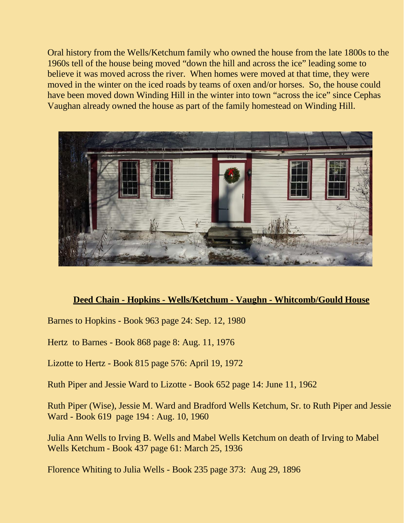Oral history from the Wells/Ketchum family who owned the house from the late 1800s to the 1960s tell of the house being moved "down the hill and across the ice" leading some to believe it was moved across the river. When homes were moved at that time, they were moved in the winter on the iced roads by teams of oxen and/or horses. So, the house could have been moved down Winding Hill in the winter into town "across the ice" since Cephas Vaughan already owned the house as part of the family homestead on Winding Hill.



## **Deed Chain - Hopkins - Wells/Ketchum - Vaughn - Whitcomb/Gould House**

Barnes to Hopkins - Book 963 page 24: Sep. 12, 1980

Hertz to Barnes - Book 868 page 8: Aug. 11, 1976

Lizotte to Hertz - Book 815 page 576: April 19, 1972

Ruth Piper and Jessie Ward to Lizotte - Book 652 page 14: June 11, 1962

Ruth Piper (Wise), Jessie M. Ward and Bradford Wells Ketchum, Sr. to Ruth Piper and Jessie Ward - Book 619 page 194 : Aug. 10, 1960

Julia Ann Wells to Irving B. Wells and Mabel Wells Ketchum on death of Irving to Mabel Wells Ketchum - Book 437 page 61: March 25, 1936

Florence Whiting to Julia Wells - Book 235 page 373: Aug 29, 1896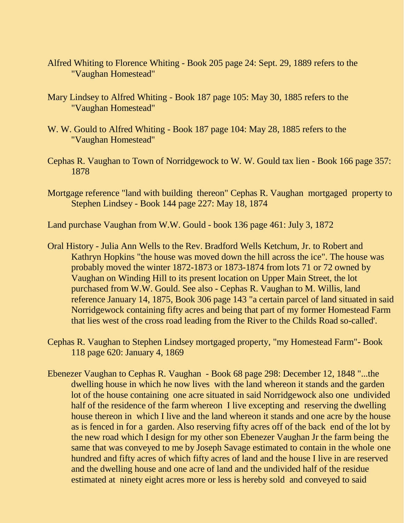- Alfred Whiting to Florence Whiting Book 205 page 24: Sept. 29, 1889 refers to the "Vaughan Homestead"
- Mary Lindsey to Alfred Whiting Book 187 page 105: May 30, 1885 refers to the "Vaughan Homestead"
- W. W. Gould to Alfred Whiting Book 187 page 104: May 28, 1885 refers to the "Vaughan Homestead"
- Cephas R. Vaughan to Town of Norridgewock to W. W. Gould tax lien Book 166 page 357: 1878
- Mortgage reference "land with building thereon" Cephas R. Vaughan mortgaged property to Stephen Lindsey - Book 144 page 227: May 18, 1874

Land purchase Vaughan from W.W. Gould - book 136 page 461: July 3, 1872

- Oral History Julia Ann Wells to the Rev. Bradford Wells Ketchum, Jr. to Robert and Kathryn Hopkins "the house was moved down the hill across the ice". The house was probably moved the winter 1872-1873 or 1873-1874 from lots 71 or 72 owned by Vaughan on Winding Hill to its present location on Upper Main Street, the lot purchased from W.W. Gould. See also - Cephas R. Vaughan to M. Willis, land reference January 14, 1875, Book 306 page 143 "a certain parcel of land situated in said Norridgewock containing fifty acres and being that part of my former Homestead Farm that lies west of the cross road leading from the River to the Childs Road so-called'.
- Cephas R. Vaughan to Stephen Lindsey mortgaged property, "my Homestead Farm"- Book 118 page 620: January 4, 1869
- Ebenezer Vaughan to Cephas R. Vaughan Book 68 page 298: December 12, 1848 "...the dwelling house in which he now lives with the land whereon it stands and the garden lot of the house containing one acre situated in said Norridgewock also one undivided half of the residence of the farm whereon I live excepting and reserving the dwelling house thereon in which I live and the land whereon it stands and one acre by the house as is fenced in for a garden. Also reserving fifty acres off of the back end of the lot by the new road which I design for my other son Ebenezer Vaughan Jr the farm being the same that was conveyed to me by Joseph Savage estimated to contain in the whole one hundred and fifty acres of which fifty acres of land and the house I live in are reserved and the dwelling house and one acre of land and the undivided half of the residue estimated at ninety eight acres more or less is hereby sold and conveyed to said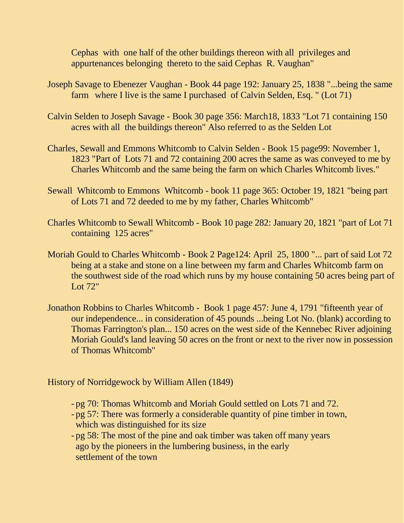Cephas with one half of the other buildings thereon with all privileges and appurtenances belonging thereto to the said Cephas R. Vaughan"

- Joseph Savage to Ebenezer Vaughan Book 44 page 192: January 25, 1838 "...being the same farm where I live is the same I purchased of Calvin Selden, Esq. " (Lot 71)
- Calvin Selden to Joseph Savage Book 30 page 356: March18, 1833 "Lot 71 containing 150 acres with all the buildings thereon" Also referred to as the Selden Lot
- Charles, Sewall and Emmons Whitcomb to Calvin Selden Book 15 page99: November 1, 1823 "Part of Lots 71 and 72 containing 200 acres the same as was conveyed to me by Charles Whitcomb and the same being the farm on which Charles Whitcomb lives."
- Sewall Whitcomb to Emmons Whitcomb book 11 page 365: October 19, 1821 "being part of Lots 71 and 72 deeded to me by my father, Charles Whitcomb"
- Charles Whitcomb to Sewall Whitcomb Book 10 page 282: January 20, 1821 "part of Lot 71 containing 125 acres"
- Moriah Gould to Charles Whitcomb Book 2 Page124: April 25, 1800 "... part of said Lot 72 being at a stake and stone on a line between my farm and Charles Whitcomb farm on the southwest side of the road which runs by my house containing 50 acres being part of Lot 72"
- Jonathon Robbins to Charles Whitcomb Book 1 page 457: June 4, 1791 "fifteenth year of our independence... in consideration of 45 pounds ...being Lot No. (blank) according to Thomas Farrington's plan... 150 acres on the west side of the Kennebec River adjoining Moriah Gould's land leaving 50 acres on the front or next to the river now in possession of Thomas Whitcomb"

History of Norridgewock by William Allen (1849)

- pg 70: Thomas Whitcomb and Moriah Gould settled on Lots 71 and 72.
- pg 57: There was formerly a considerable quantity of pine timber in town, which was distinguished for its size
- pg 58: The most of the pine and oak timber was taken off many years ago by the pioneers in the lumbering business, in the early settlement of the town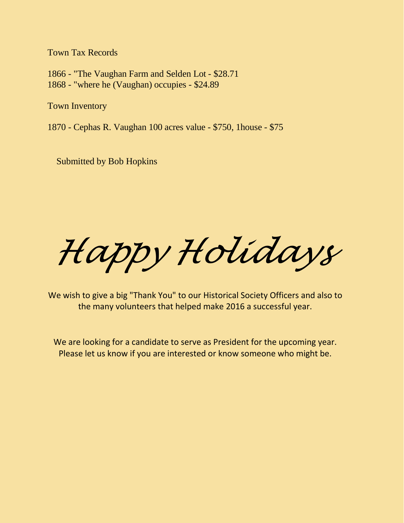Town Tax Records

1866 - "The Vaughan Farm and Selden Lot - \$28.71 1868 - "where he (Vaughan) occupies - \$24.89

Town Inventory

1870 - Cephas R. Vaughan 100 acres value - \$750, 1house - \$75

Submitted by Bob Hopkins

*Happy Holidays*

We wish to give a big "Thank You" to our Historical Society Officers and also to the many volunteers that helped make 2016 a successful year.

We are looking for a candidate to serve as President for the upcoming year. Please let us know if you are interested or know someone who might be.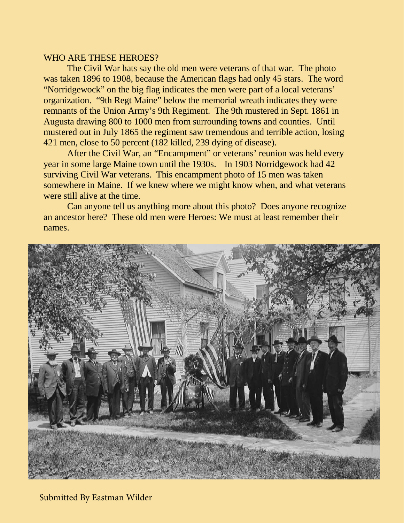## WHO ARE THESE HEROES?

The Civil War hats say the old men were veterans of that war. The photo was taken 1896 to 1908, because the American flags had only 45 stars. The word "Norridgewock" on the big flag indicates the men were part of a local veterans' organization. "9th Regt Maine" below the memorial wreath indicates they were remnants of the Union Army's 9th Regiment. The 9th mustered in Sept. 1861 in Augusta drawing 800 to 1000 men from surrounding towns and counties. Until mustered out in July 1865 the regiment saw tremendous and terrible action, losing 421 men, close to 50 percent (182 killed, 239 dying of disease).

After the Civil War, an "Encampment" or veterans' reunion was held every year in some large Maine town until the 1930s. In 1903 Norridgewock had 42 surviving Civil War veterans. This encampment photo of 15 men was taken somewhere in Maine. If we knew where we might know when, and what veterans were still alive at the time.

Can anyone tell us anything more about this photo? Does anyone recognize an ancestor here? These old men were Heroes: We must at least remember their names.



Submitted By Eastman Wilder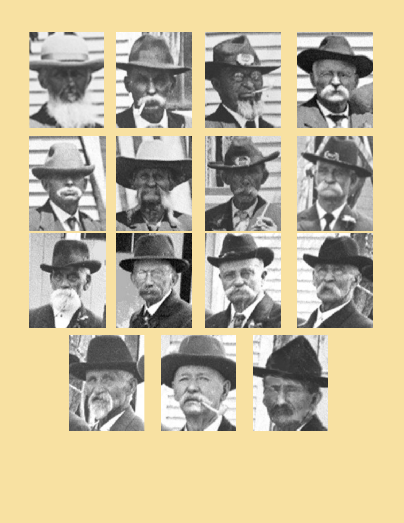